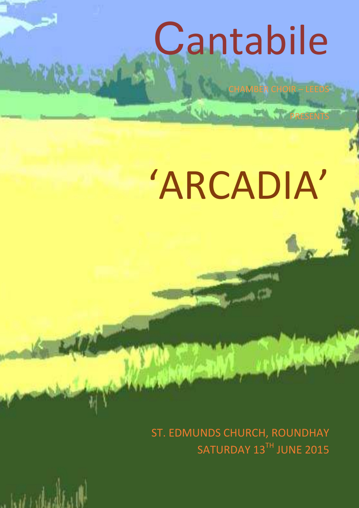# Cantabile

CHAMBER CHOIR – LEEDS

**PRESENTS** 

## 'ARCADIA'

ST. EDMUNDS CHURCH, ROUNDHAY SATURDAY 13TH JUNE 2015

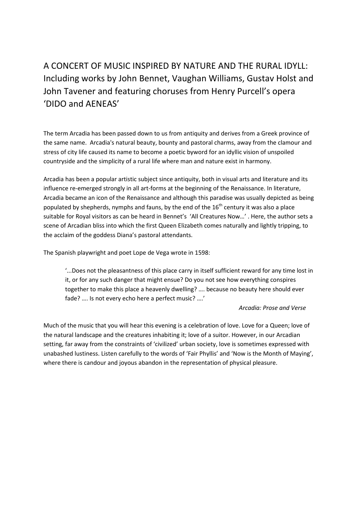## A CONCERT OF MUSIC INSPIRED BY NATURE AND THE RURAL IDYLL: Including works by John Bennet, Vaughan Williams, Gustav Holst and John Tavener and featuring choruses from Henry Purcell's opera 'DIDO and AENEAS'

The term Arcadia has been passed down to us from antiquity and derives from a Greek province of the same name. Arcadia's natural beauty, bounty and pastoral charms, away from the clamour and stress of city life caused its name to become a poetic byword for an idyllic vision of unspoiled countryside and the simplicity of a rural life where man and nature exist in harmony.

Arcadia has been a popular artistic subject since antiquity, both in visual arts and literature and its influence re-emerged strongly in all art-forms at the beginning of the Renaissance. In literature, Arcadia became an icon of the Renaissance and although this paradise was usually depicted as being populated by shepherds, nymphs and fauns, by the end of the  $16<sup>th</sup>$  century it was also a place suitable for Royal visitors as can be heard in Bennet's 'All Creatures Now…' . Here, the author sets a scene of Arcadian bliss into which the first Queen Elizabeth comes naturally and lightly tripping, to the acclaim of the goddess Diana's pastoral attendants.

The Spanish playwright and poet Lope de Vega wrote in 1598:

'...Does not the pleasantness of this place carry in itself sufficient reward for any time lost in it, or for any such danger that might ensue? Do you not see how everything conspires together to make this place a heavenly dwelling? …. because no beauty here should ever fade? …. Is not every echo here a perfect music? ….'

#### *Arcadia: Prose and Verse*

Much of the music that you will hear this evening is a celebration of love. Love for a Queen; love of the natural landscape and the creatures inhabiting it; love of a suitor. However, in our Arcadian setting, far away from the constraints of 'civilized' urban society, love is sometimes expressed with unabashed lustiness. Listen carefully to the words of 'Fair Phyllis' and 'Now is the Month of Maying', where there is candour and joyous abandon in the representation of physical pleasure.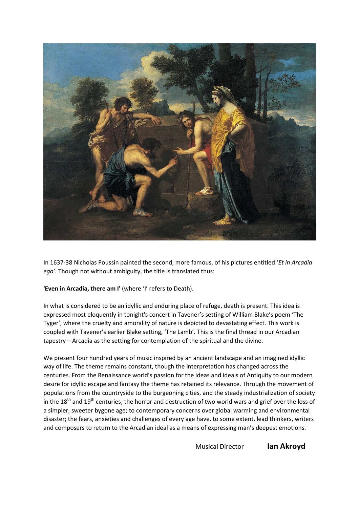

In 1637-38 Nicholas Poussin painted the second, more famous, of his pictures entitled '*Et in Arcadia ego'.* Though not without ambiguity, the title is translated thus:

**'Even in Arcadia, there am I'** (where 'I' refers to Death).

In what is considered to be an idyllic and enduring place of refuge, death is present. This idea is expressed most eloquently in tonight's concert in Tavener's setting of William Blake's poem 'The Tyger', where the cruelty and amorality of nature is depicted to devastating effect. This work is coupled with Tavener's earlier Blake setting, 'The Lamb'. This is the final thread in our Arcadian tapestry – Arcadia as the setting for contemplation of the spiritual and the divine.

We present four hundred years of music inspired by an ancient landscape and an imagined idyllic way of life. The theme remains constant, though the interpretation has changed across the centuries. From the Renaissance world's passion for the ideas and ideals of Antiquity to our modern desire for idyllic escape and fantasy the theme has retained its relevance. Through the movement of populations from the countryside to the burgeoning cities, and the steady industrialization of society in the 18<sup>th</sup> and 19<sup>th</sup> centuries; the horror and destruction of two world wars and grief over the loss of a simpler, sweeter bygone age; to contemporary concerns over global warming and environmental disaster; the fears, anxieties and challenges of every age have, to some extent, lead thinkers, writers and composers to return to the Arcadian ideal as a means of expressing man's deepest emotions.

Musical Director **Ian Akroyd**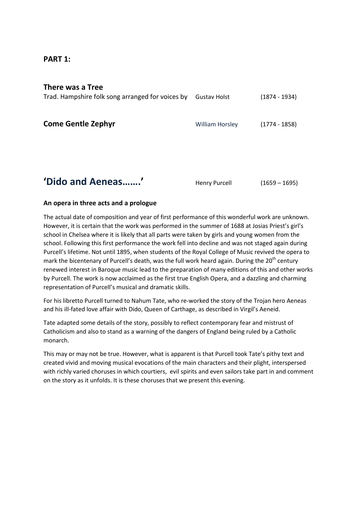#### **PART 1:**

#### **There was a Tree**

| Trad. Hampshire folk song arranged for voices by | <b>Gustav Holst</b>    | $(1874 - 1934)$ |
|--------------------------------------------------|------------------------|-----------------|
| <b>Come Gentle Zephyr</b>                        | <b>William Horsley</b> | $(1774 - 1858)$ |
| 'Dido and Aeneas'                                | Henry Purcell          | $(1659 - 1695)$ |

#### **An opera in three acts and a prologue**

The actual date of composition and year of first performance of this wonderful work are unknown. However, it is certain that the work was performed in the summer of 1688 at Josias Priest's girl's school in Chelsea where it is likely that all parts were taken by girls and young women from the school. Following this first performance the work fell into decline and was not staged again during Purcell's lifetime. Not until 1895, when students of the Royal College of Music revived the opera to mark the bicentenary of Purcell's death, was the full work heard again. During the  $20<sup>th</sup>$  century renewed interest in Baroque music lead to the preparation of many editions of this and other works by Purcell. The work is now acclaimed as the first true English Opera, and a dazzling and charming representation of Purcell's musical and dramatic skills.

For his libretto Purcell turned to Nahum Tate, who re-worked the story of the Trojan hero Aeneas and his ill-fated love affair with Dido, Queen of Carthage, as described in Virgil's Aeneid.

Tate adapted some details of the story, possibly to reflect contemporary fear and mistrust of Catholicism and also to stand as a warning of the dangers of England being ruled by a Catholic monarch.

This may or may not be true. However, what is apparent is that Purcell took Tate's pithy text and created vivid and moving musical evocations of the main characters and their plight, interspersed with richly varied choruses in which courtiers, evil spirits and even sailors take part in and comment on the story as it unfolds. It is these choruses that we present this evening.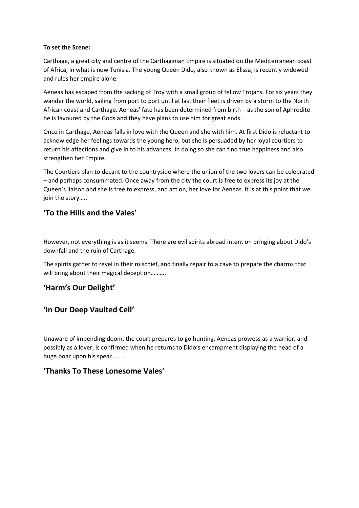#### **To set the Scene:**

Carthage, a great city and centre of the Carthaginian Empire is situated on the Mediterranean coast of Africa, in what is now Tunisia. The young Queen Dido, also known as Elissa, is recently widowed and rules her empire alone.

Aeneas has escaped from the sacking of Troy with a small group of fellow Trojans. For six years they wander the world, sailing from port to port until at last their fleet is driven by a storm to the North African coast and Carthage. Aeneas' fate has been determined from birth – as the son of Aphrodite he is favoured by the Gods and they have plans to use him for great ends.

Once in Carthage, Aeneas falls in love with the Queen and she with him. At first Dido is reluctant to acknowledge her feelings towards the young hero, but she is persuaded by her loyal courtiers to return his affections and give in to his advances. In doing so she can find true happiness and also strengthen her Empire.

The Courtiers plan to decant to the countryside where the union of the two lovers can be celebrated – and perhaps consummated. Once away from the city the court is free to express its joy at the Queen's liaison and she is free to express, and act on, her love for Aeneas. It is at this point that we join the story…..

#### **'To the Hills and the Vales'**

However, not everything is as it seems. There are evil spirits abroad intent on bringing about Dido's downfall and the ruin of Carthage.

The spirits gather to revel in their mischief, and finally repair to a cave to prepare the charms that will bring about their magical deception..........

#### **'Harm's Our Delight'**

#### **'In Our Deep Vaulted Cell'**

Unaware of impending doom, the court prepares to go hunting. Aeneas prowess as a warrior, and possibly as a lover, is confirmed when he returns to Dido's encampment displaying the head of a huge boar upon his spear………

#### **'Thanks To These Lonesome Vales'**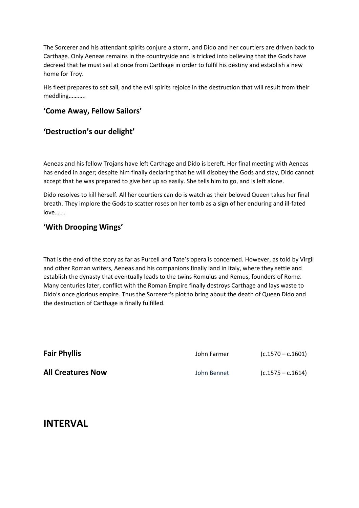The Sorcerer and his attendant spirits conjure a storm, and Dido and her courtiers are driven back to Carthage. Only Aeneas remains in the countryside and is tricked into believing that the Gods have decreed that he must sail at once from Carthage in order to fulfil his destiny and establish a new home for Troy.

His fleet prepares to set sail, and the evil spirits rejoice in the destruction that will result from their meddling………..

#### **'Come Away, Fellow Sailors'**

#### **'Destruction's our delight'**

Aeneas and his fellow Trojans have left Carthage and Dido is bereft. Her final meeting with Aeneas has ended in anger; despite him finally declaring that he will disobey the Gods and stay, Dido cannot accept that he was prepared to give her up so easily. She tells him to go, and is left alone.

Dido resolves to kill herself. All her courtiers can do is watch as their beloved Queen takes her final breath. They implore the Gods to scatter roses on her tomb as a sign of her enduring and ill-fated love…….

#### **'With Drooping Wings'**

That is the end of the story as far as Purcell and Tate's opera is concerned. However, as told by Virgil and other Roman writers, Aeneas and his companions finally land in Italy, where they settle and establish the dynasty that eventually leads to the twins Romulus and Remus, founders of Rome. Many centuries later, conflict with the Roman Empire finally destroys Carthage and lays waste to Dido's once glorious empire. Thus the Sorcerer's plot to bring about the death of Queen Dido and the destruction of Carthage is finally fulfilled.

| <b>Fair Phyllis</b>      | John Farmer | $(c.1570 - c.1601)$ |
|--------------------------|-------------|---------------------|
| <b>All Creatures Now</b> | John Bennet | $(c.1575 - c.1614)$ |

#### **INTERVAL**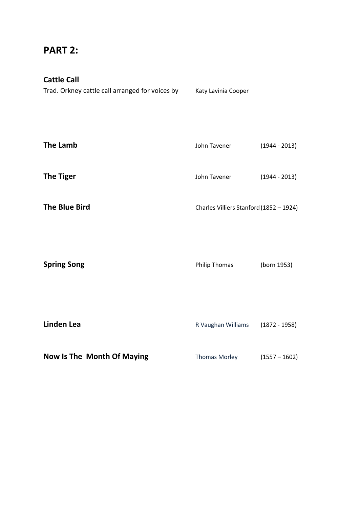### **PART 2:**

#### **Cattle Call**

Trad. Orkney cattle call arranged for voices by Katy Lavinia Cooper

| <b>The Lamb</b>      | John Tavener                            | $(1944 - 2013)$ |
|----------------------|-----------------------------------------|-----------------|
| <b>The Tiger</b>     | John Tavener                            | $(1944 - 2013)$ |
| <b>The Blue Bird</b> | Charles Villiers Stanford (1852 - 1924) |                 |
| <b>Spring Song</b>   | <b>Philip Thomas</b>                    | (born 1953)     |

| Linden Lea                 | R Vaughan Williams   | $(1872 - 1958)$ |
|----------------------------|----------------------|-----------------|
| Now Is The Month Of Maying | <b>Thomas Morley</b> | $(1557 - 1602)$ |